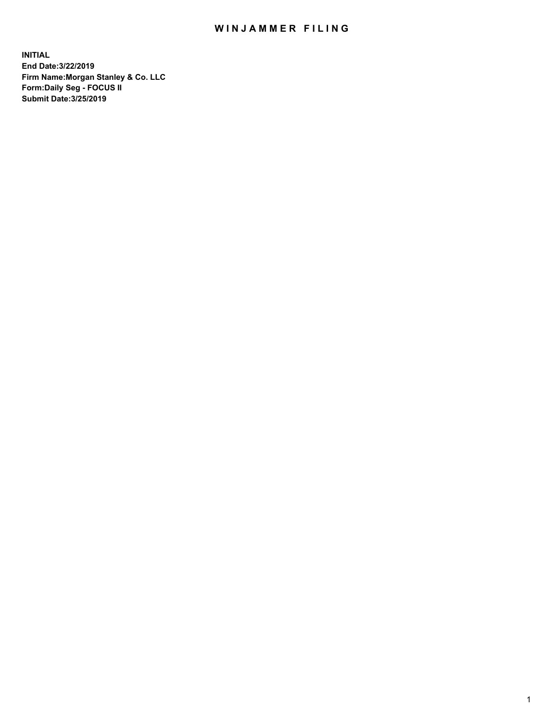## WIN JAMMER FILING

**INITIAL End Date:3/22/2019 Firm Name:Morgan Stanley & Co. LLC Form:Daily Seg - FOCUS II Submit Date:3/25/2019**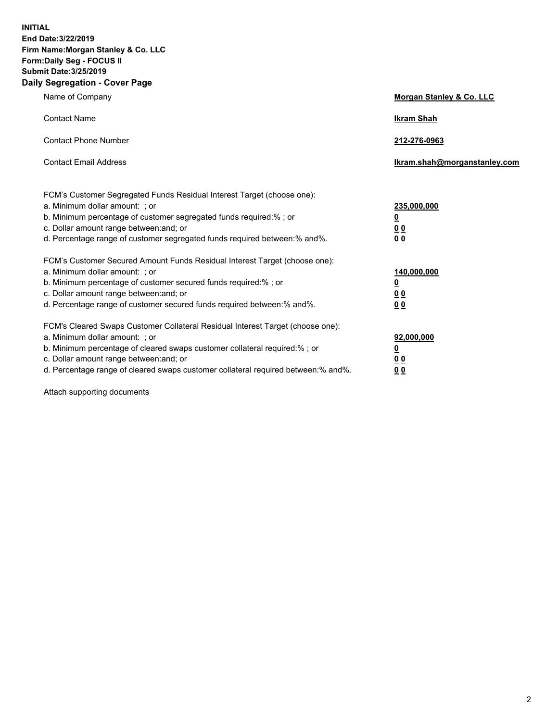**INITIAL End Date:3/22/2019 Firm Name:Morgan Stanley & Co. LLC Form:Daily Seg - FOCUS II Submit Date:3/25/2019 Daily Segregation - Cover Page**

| Name of Company                                                                   | Morgan Stanley & Co. LLC     |
|-----------------------------------------------------------------------------------|------------------------------|
| <b>Contact Name</b>                                                               | <b>Ikram Shah</b>            |
| <b>Contact Phone Number</b>                                                       | 212-276-0963                 |
| <b>Contact Email Address</b>                                                      | Ikram.shah@morganstanley.com |
| FCM's Customer Segregated Funds Residual Interest Target (choose one):            |                              |
| a. Minimum dollar amount: ; or                                                    | 235,000,000                  |
| b. Minimum percentage of customer segregated funds required:% ; or                | <u>0</u>                     |
| c. Dollar amount range between: and; or                                           | <u>0 0</u>                   |
| d. Percentage range of customer segregated funds required between: % and %.       | 00                           |
| FCM's Customer Secured Amount Funds Residual Interest Target (choose one):        |                              |
| a. Minimum dollar amount: ; or                                                    | 140,000,000                  |
| b. Minimum percentage of customer secured funds required:%; or                    | <u>0</u>                     |
| c. Dollar amount range between: and; or                                           | 0 <sub>0</sub>               |
| d. Percentage range of customer secured funds required between:% and%.            | 0 <sub>0</sub>               |
| FCM's Cleared Swaps Customer Collateral Residual Interest Target (choose one):    |                              |
| a. Minimum dollar amount: ; or                                                    | 92,000,000                   |
| b. Minimum percentage of cleared swaps customer collateral required:% ; or        | <u>0</u>                     |
| c. Dollar amount range between: and; or                                           | 0 Q                          |
| d. Percentage range of cleared swaps customer collateral required between:% and%. | 00                           |

Attach supporting documents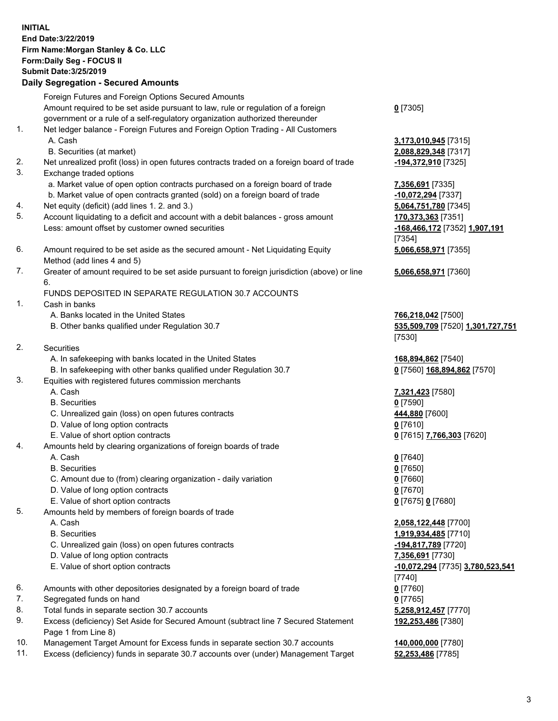## **INITIAL End Date:3/22/2019 Firm Name:Morgan Stanley & Co. LLC Form:Daily Seg - FOCUS II Submit Date:3/25/2019 Daily Segregation - Secured Amounts**

Foreign Futures and Foreign Options Secured Amounts Amount required to be set aside pursuant to law, rule or regulation of a foreign government or a rule of a self-regulatory organization authorized thereunder

- 1. Net ledger balance Foreign Futures and Foreign Option Trading All Customers A. Cash **3,173,010,945** [7315]
	- B. Securities (at market) **2,088,829,348** [7317]
- 2. Net unrealized profit (loss) in open futures contracts traded on a foreign board of trade **-194,372,910** [7325]
- 3. Exchange traded options
	- a. Market value of open option contracts purchased on a foreign board of trade **7,356,691** [7335]
	- b. Market value of open contracts granted (sold) on a foreign board of trade **-10,072,294** [7337]
- 4. Net equity (deficit) (add lines 1. 2. and 3.) **5,064,751,780** [7345]
- 5. Account liquidating to a deficit and account with a debit balances gross amount **170,373,363** [7351] Less: amount offset by customer owned securities **-168,466,172** [7352] **1,907,191**
- 6. Amount required to be set aside as the secured amount Net Liquidating Equity Method (add lines 4 and 5)
- 7. Greater of amount required to be set aside pursuant to foreign jurisdiction (above) or line 6.

## FUNDS DEPOSITED IN SEPARATE REGULATION 30.7 ACCOUNTS

- 1. Cash in banks
	- A. Banks located in the United States **766,218,042** [7500]
	- B. Other banks qualified under Regulation 30.7 **535,509,709** [7520] **1,301,727,751**
- 2. Securities
	- A. In safekeeping with banks located in the United States **168,894,862** [7540]
	- B. In safekeeping with other banks qualified under Regulation 30.7 **0** [7560] **168,894,862** [7570]
- 3. Equities with registered futures commission merchants
	-
	- B. Securities **0** [7590]
	- C. Unrealized gain (loss) on open futures contracts **444,880** [7600]
	- D. Value of long option contracts **0** [7610]
- E. Value of short option contracts **0** [7615] **7,766,303** [7620]
- 4. Amounts held by clearing organizations of foreign boards of trade
	- A. Cash **0** [7640]
	- B. Securities **0** [7650]
	- C. Amount due to (from) clearing organization daily variation **0** [7660]
	- D. Value of long option contracts **0** [7670]
	- E. Value of short option contracts **0** [7675] **0** [7680]
- 5. Amounts held by members of foreign boards of trade
	-
	-
	- C. Unrealized gain (loss) on open futures contracts **-194,817,789** [7720]
	- D. Value of long option contracts **7,356,691** [7730]
	- E. Value of short option contracts **-10,072,294** [7735] **3,780,523,541**
- 6. Amounts with other depositories designated by a foreign board of trade **0** [7760]
- 7. Segregated funds on hand **0** [7765]
- 8. Total funds in separate section 30.7 accounts **5,258,912,457** [7770]
- 9. Excess (deficiency) Set Aside for Secured Amount (subtract line 7 Secured Statement Page 1 from Line 8)
- 10. Management Target Amount for Excess funds in separate section 30.7 accounts **140,000,000** [7780]
- 11. Excess (deficiency) funds in separate 30.7 accounts over (under) Management Target **52,253,486** [7785]

**0** [7305]

[7354] **5,066,658,971** [7355]

**5,066,658,971** [7360]

[7530]

A. Cash **7,321,423** [7580]

 A. Cash **2,058,122,448** [7700] B. Securities **1,919,934,485** [7710] [7740] **192,253,486** [7380]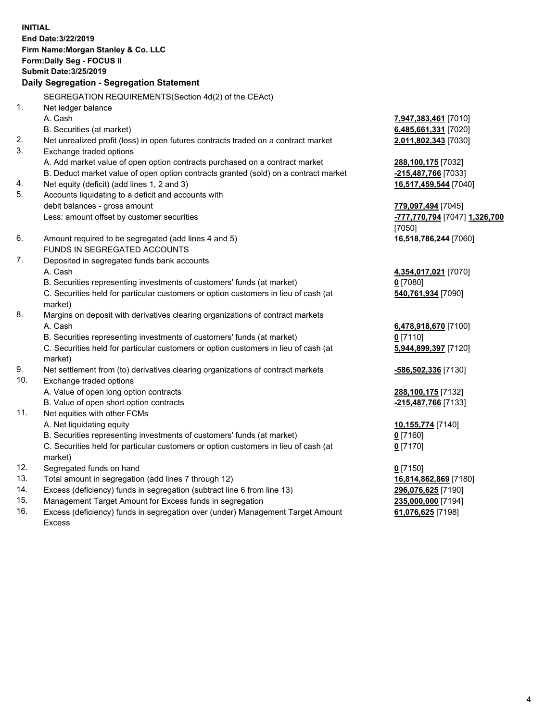**INITIAL End Date:3/22/2019 Firm Name:Morgan Stanley & Co. LLC Form:Daily Seg - FOCUS II Submit Date:3/25/2019 Daily Segregation - Segregation Statement** SEGREGATION REQUIREMENTS(Section 4d(2) of the CEAct) 1. Net ledger balance A. Cash **7,947,383,461** [7010] B. Securities (at market) **6,485,661,331** [7020] 2. Net unrealized profit (loss) in open futures contracts traded on a contract market **2,011,802,343** [7030] 3. Exchange traded options A. Add market value of open option contracts purchased on a contract market **288,100,175** [7032] B. Deduct market value of open option contracts granted (sold) on a contract market **-215,487,766** [7033] 4. Net equity (deficit) (add lines 1, 2 and 3) **16,517,459,544** [7040] 5. Accounts liquidating to a deficit and accounts with debit balances - gross amount **779,097,494** [7045] Less: amount offset by customer securities **-777,770,794** [7047] **1,326,700** [7050] 6. Amount required to be segregated (add lines 4 and 5) **16,518,786,244** [7060] FUNDS IN SEGREGATED ACCOUNTS 7. Deposited in segregated funds bank accounts A. Cash **4,354,017,021** [7070] B. Securities representing investments of customers' funds (at market) **0** [7080] C. Securities held for particular customers or option customers in lieu of cash (at market) **540,761,934** [7090] 8. Margins on deposit with derivatives clearing organizations of contract markets A. Cash **6,478,918,670** [7100] B. Securities representing investments of customers' funds (at market) **0** [7110] C. Securities held for particular customers or option customers in lieu of cash (at market) **5,944,899,397** [7120] 9. Net settlement from (to) derivatives clearing organizations of contract markets **-586,502,336** [7130] 10. Exchange traded options A. Value of open long option contracts **288,100,175** [7132] B. Value of open short option contracts **-215,487,766** [7133] 11. Net equities with other FCMs A. Net liquidating equity **10,155,774** [7140] B. Securities representing investments of customers' funds (at market) **0** [7160] C. Securities held for particular customers or option customers in lieu of cash (at market) **0** [7170] 12. Segregated funds on hand **0** [7150] 13. Total amount in segregation (add lines 7 through 12) **16,814,862,869** [7180] 14. Excess (deficiency) funds in segregation (subtract line 6 from line 13) **296,076,625** [7190]

- 15. Management Target Amount for Excess funds in segregation **235,000,000** [7194]
- 16. Excess (deficiency) funds in segregation over (under) Management Target Amount Excess

**61,076,625** [7198]